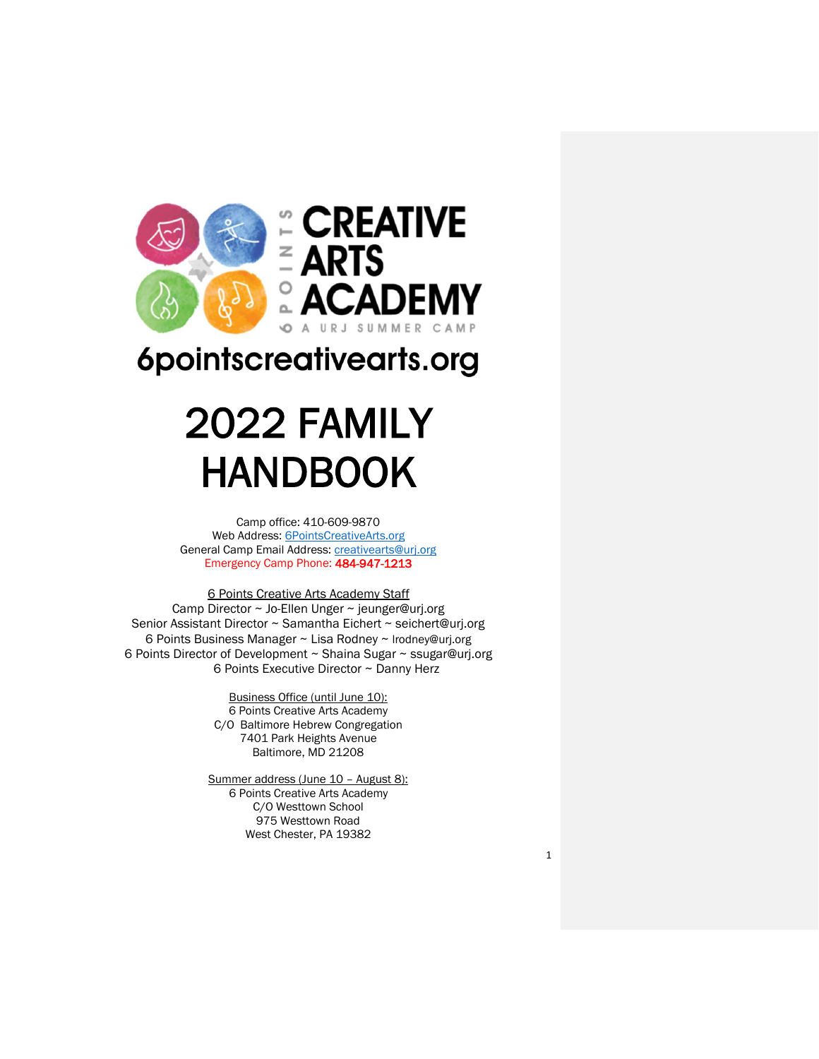

## 6pointscreativearts.org

# 2022 FAMILY HANDBOOK

Camp office: 410-609-9870 Web Address: [6PointsCreativeArts.org](http://6pointscreativearts.org/) General Camp Email Address: [creativearts@urj.org](mailto:creativearts@urj.org) Emergency Camp Phone: 484-947-1213

6 Points Creative Arts Academy Staff Camp Director ~ Jo-Ellen Unger ~ jeunger@urj.org Senior Assistant Director ~ Samantha Eichert ~ seichert@urj.org 6 Points Business Manager ~ Lisa Rodney ~ [lrodney@urj.org](mailto:lrodney@urj.org) 6 Points Director of Development ~ Shaina Sugar ~ ssugar@urj.org 6 Points Executive Director ~ Danny Herz

> Business Office (until June 10): 6 Points Creative Arts Academy C/O Baltimore Hebrew Congregation 7401 Park Heights Avenue Baltimore, MD 21208

Summer address (June 10 - August 8): 6 Points Creative Arts Academy C/O Westtown School 975 Westtown Road West Chester, PA 19382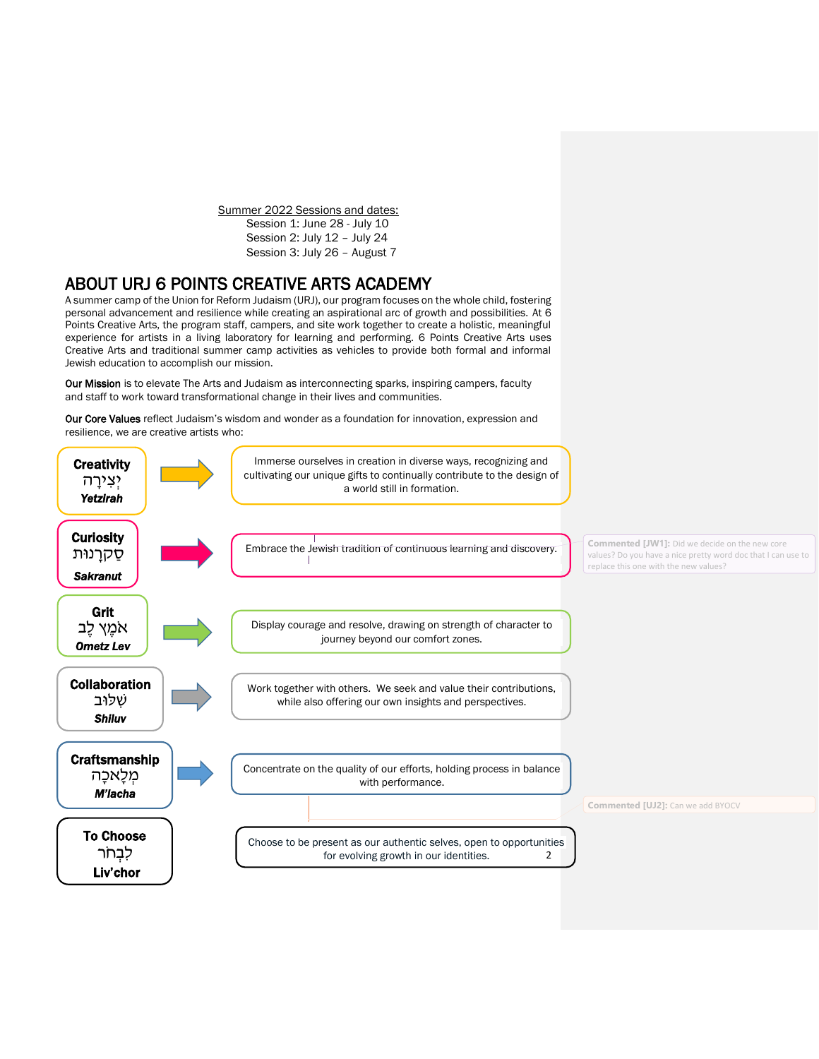Summer 2022 Sessions and dates: Session 1: June 28 - July 10 Session 2: July 12 – July 24 Session 3: July 26 – August 7

## ABOUT URJ 6 POINTS CREATIVE ARTS ACADEMY

A summer camp of the Union for Reform Judaism (URJ), our program focuses on the whole child, fostering personal advancement and resilience while creating an aspirational arc of growth and possibilities. At 6 Points Creative Arts, the program staff, campers, and site work together to create a holistic, meaningful experience for artists in a living laboratory for learning and performing. 6 Points Creative Arts uses Creative Arts and traditional summer camp activities as vehicles to provide both formal and informal Jewish education to accomplish our mission.

Our Mission is to elevate The Arts and Judaism as interconnecting sparks, inspiring campers, faculty and staff to work toward transformational change in their lives and communities.

Our Core Values reflect Judaism's wisdom and wonder as a foundation for innovation, expression and resilience, we are creative artists who:

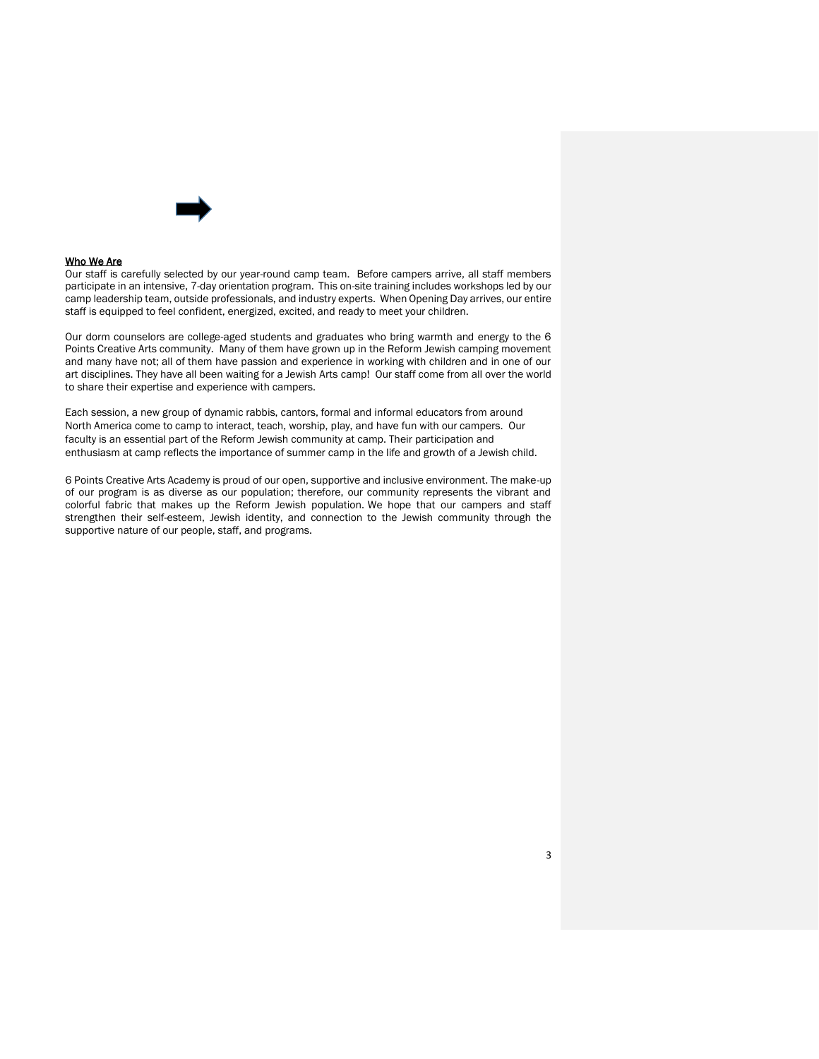

#### Who We Are

Our staff is carefully selected by our year-round camp team. Before campers arrive, all staff members participate in an intensive, 7-day orientation program. This on-site training includes workshops led by our camp leadership team, outside professionals, and industry experts. When Opening Day arrives, our entire staff is equipped to feel confident, energized, excited, and ready to meet your children.

Our dorm counselors are college-aged students and graduates who bring warmth and energy to the 6 Points Creative Arts community. Many of them have grown up in the Reform Jewish camping movement and many have not; all of them have passion and experience in working with children and in one of our art disciplines. They have all been waiting for a Jewish Arts camp! Our staff come from all over the world to share their expertise and experience with campers.

Each session, a new group of dynamic rabbis, cantors, formal and informal educators from around North America come to camp to interact, teach, worship, play, and have fun with our campers. Our faculty is an essential part of the Reform Jewish community at camp. Their participation and enthusiasm at camp reflects the importance of summer camp in the life and growth of a Jewish child.

6 Points Creative Arts Academy is proud of our open, supportive and inclusive environment. The make-up of our program is as diverse as our population; therefore, our community represents the vibrant and colorful fabric that makes up the Reform Jewish population. We hope that our campers and staff strengthen their self-esteem, Jewish identity, and connection to the Jewish community through the supportive nature of our people, staff, and programs.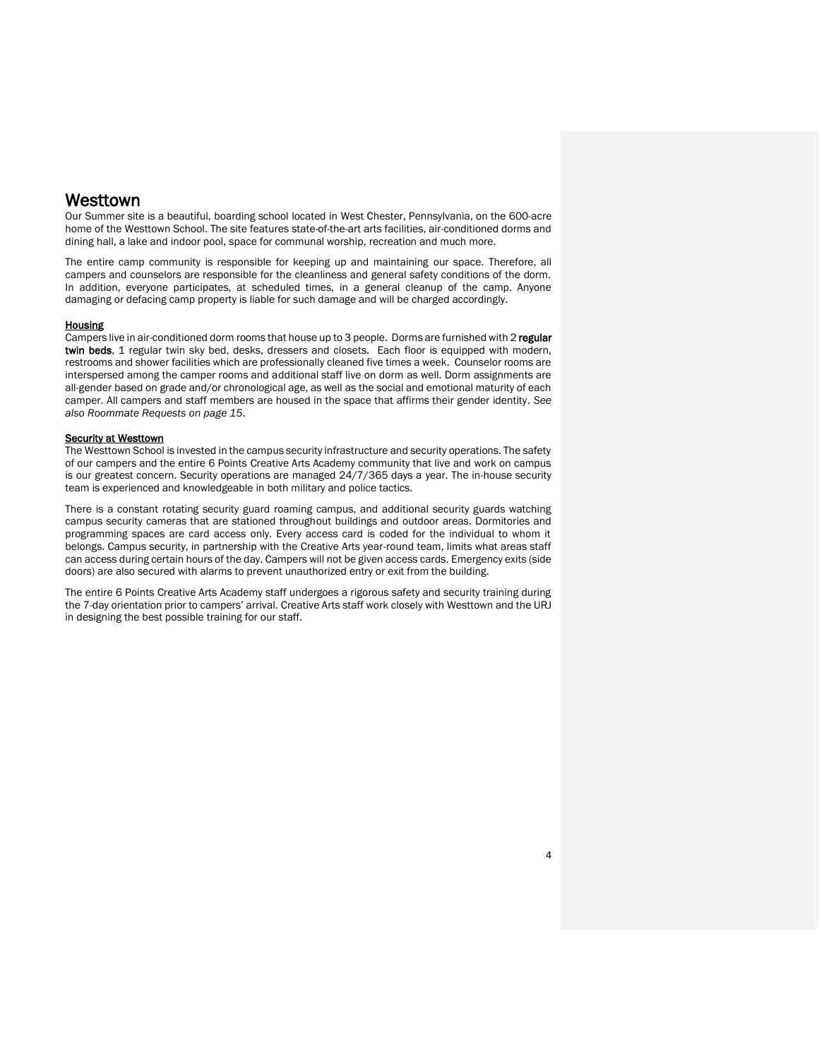## **Westtown**

Our Summer site is a beautiful, boarding school located in West Chester, Pennsylvania, on the 600-acre home of the Westtown School. The site features state-of-the-art arts facilities, air-conditioned dorms and dining hall, a lake and indoor pool, space for communal worship, recreation and much more.

The entire camp community is responsible for keeping up and maintaining our space. Therefore, all campers and counselors are responsible for the cleanliness and general safety conditions of the dorm. In addition, everyone participates, at scheduled times, in a general cleanup of the camp. Anyone damaging or defacing camp property is liable for such damage and will be charged accordingly.

#### **Housing**

Campers live in air-conditioned dorm rooms that house up to 3 people. Dorms are furnished with 2 regular twin beds, 1 regular twin sky bed, desks, dressers and closets. Each floor is equipped with modern, restrooms and shower facilities which are professionally cleaned five times a week. Counselor rooms are interspersed among the camper rooms and additional staff live on dorm as well. Dorm assignments are all-gender based on grade and/or chronological age, as well as the social and emotional maturity of each camper. All campers and staff members are housed in the space that affirms their gender identity. *See also Roommate Requests on page 15*.

#### Security at Westtown

The Westtown School is invested in the campus security infrastructure and security operations. The safety of our campers and the entire 6 Points Creative Arts Academy community that live and work on campus is our greatest concern. Security operations are managed 24/7/365 days a year. The in-house security team is experienced and knowledgeable in both military and police tactics.

There is a constant rotating security guard roaming campus, and additional security guards watching campus security cameras that are stationed throughout buildings and outdoor areas. Dormitories and programming spaces are card access only. Every access card is coded for the individual to whom it belongs. Campus security, in partnership with the Creative Arts year-round team, limits what areas staff can access during certain hours of the day. Campers will not be given access cards. Emergency exits (side doors) are also secured with alarms to prevent unauthorized entry or exit from the building.

The entire 6 Points Creative Arts Academy staff undergoes a rigorous safety and security training during the 7-day orientation prior to campers' arrival. Creative Arts staff work closely with Westtown and the URJ in designing the best possible training for our staff.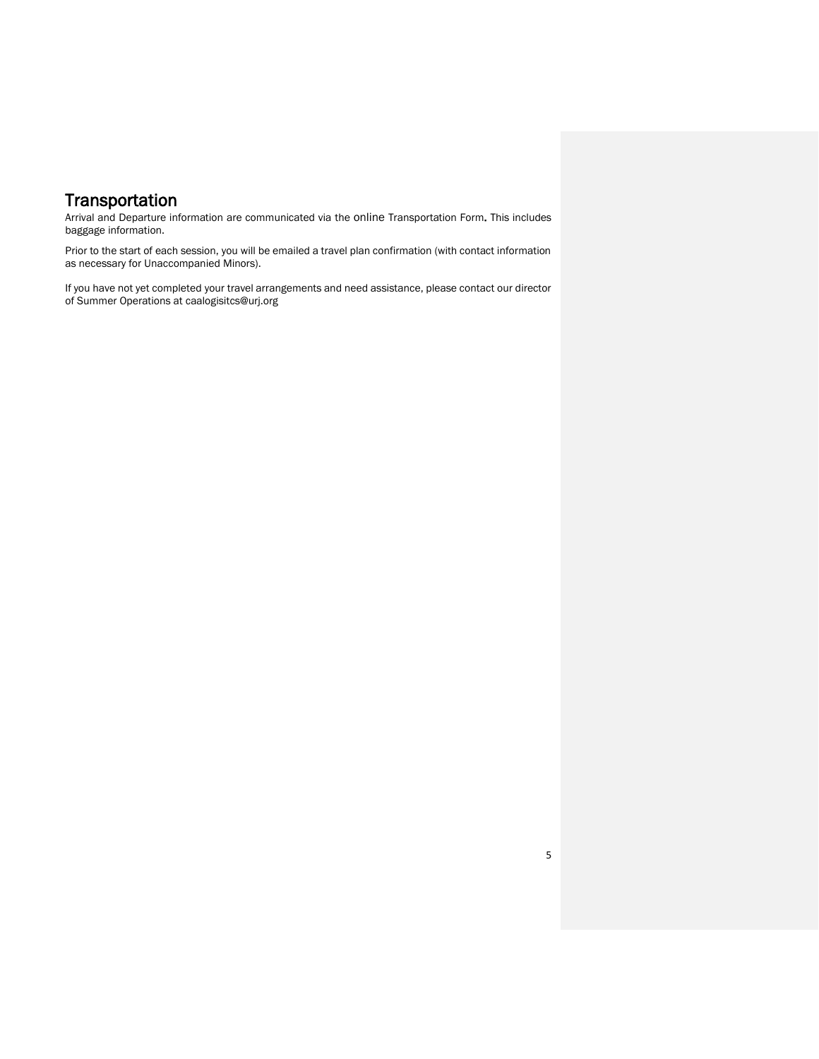## **Transportation**

Arrival and Departure information are communicated via the online Transportation Form. This includes baggage information.

 Prior to the start of each session, you will be emailed a travel plan confirmation (with contact information as necessary for Unaccompanied Minors).

If you have not yet completed your travel arrangements and need assistance, please contact our director of Summer Operations at caalogisitcs@urj.org

5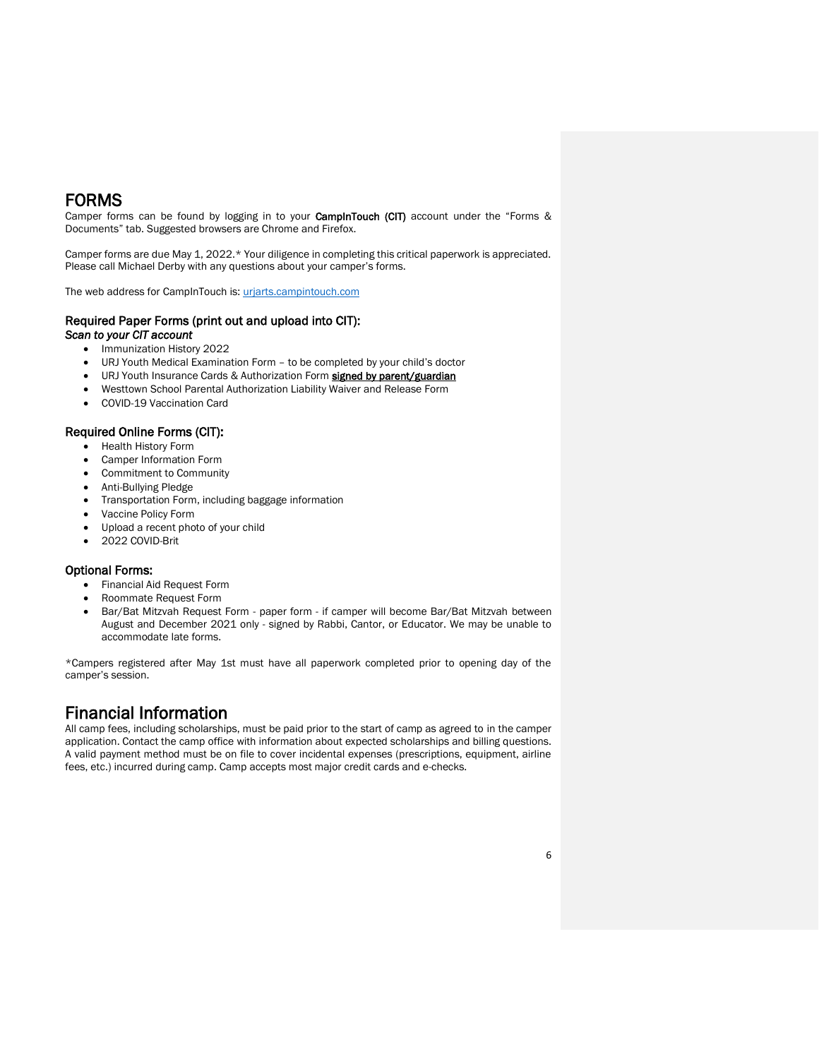## FORMS

Camper forms can be found by logging in to your **CampInTouch (CIT)** account under the "Forms & Documents" tab. Suggested browsers are Chrome and Firefox.

Camper forms are due May 1, 2022.\* Your diligence in completing this critical paperwork is appreciated. Please call Michael Derby with any questions about your camper's forms.

The web address for CampInTouch is: [urjarts.campintouch.com](https://theurj-my.sharepoint.com/personal/kehoffman_urj_org/Documents/Handbooks/urjarts.campintouch.com)

### Required Paper Forms (print out and upload into CIT):

*Scan to your CIT account*

- Immunization History 2022
- URJ Youth Medical Examination Form to be completed by your child's doctor
- URJ Youth Insurance Cards & Authorization Form signed by parent/guardian
- Westtown School Parental Authorization Liability Waiver and Release Form
- COVID-19 Vaccination Card

#### Required Online Forms (CIT):

- Health History Form
- Camper Information Form
- Commitment to Community
- Anti-Bullying Pledge
- Transportation Form, including baggage information
- Vaccine Policy Form
- Upload a recent photo of your child
- 2022 COVID-Brit

#### Optional Forms:

- Financial Aid Request Form
- Roommate Request Form
- Bar/Bat Mitzvah Request Form paper form if camper will become Bar/Bat Mitzvah between August and December 2021 only - signed by Rabbi, Cantor, or Educator. We may be unable to accommodate late forms.

\*Campers registered after May 1st must have all paperwork completed prior to opening day of the camper's session.

## Financial Information

All camp fees, including scholarships, must be paid prior to the start of camp as agreed to in the camper application. Contact the camp office with information about expected scholarships and billing questions. A valid payment method must be on file to cover incidental expenses (prescriptions, equipment, airline fees, etc.) incurred during camp. Camp accepts most major credit cards and e-checks.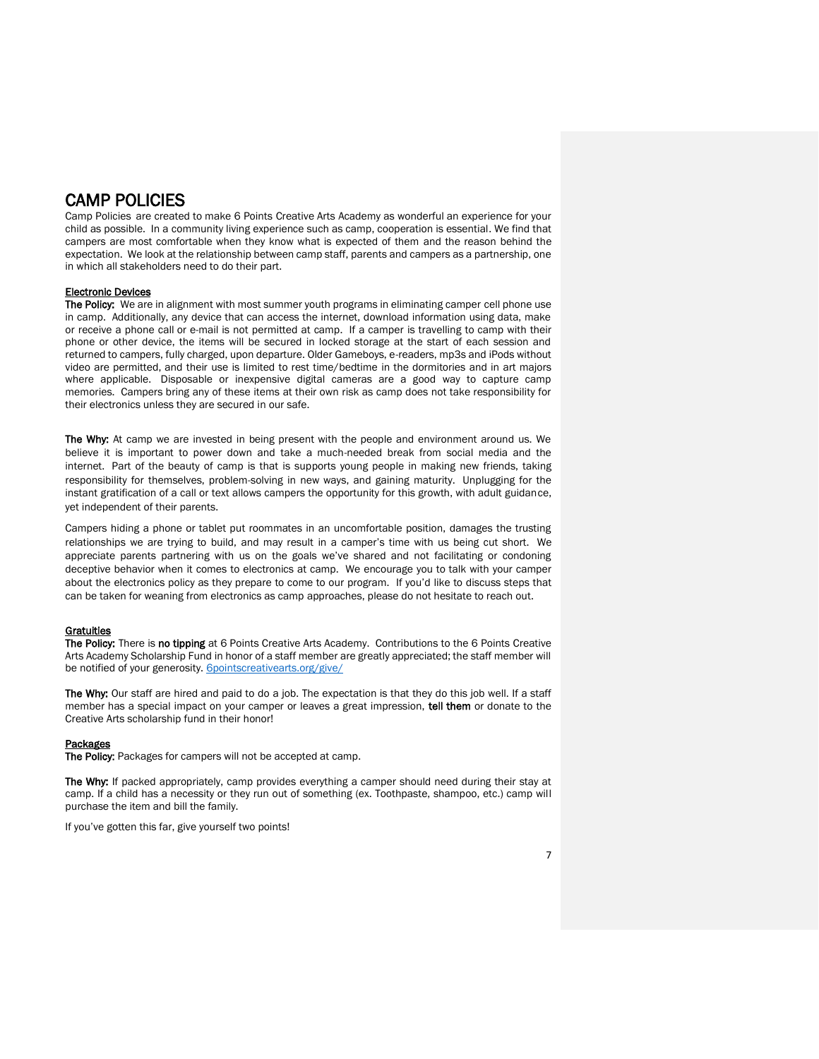## CAMP POLICIES

Camp Policies are created to make 6 Points Creative Arts Academy as wonderful an experience for your child as possible. In a community living experience such as camp, cooperation is essential. We find that campers are most comfortable when they know what is expected of them and the reason behind the expectation. We look at the relationship between camp staff, parents and campers as a partnership, one in which all stakeholders need to do their part.

#### Electronic Devices

The Policy: We are in alignment with most summer youth programs in eliminating camper cell phone use in camp. Additionally, any device that can access the internet, download information using data, make or receive a phone call or e-mail is not permitted at camp. If a camper is travelling to camp with their phone or other device, the items will be secured in locked storage at the start of each session and returned to campers, fully charged, upon departure. Older Gameboys, e-readers, mp3s and iPods without video are permitted, and their use is limited to rest time/bedtime in the dormitories and in art majors where applicable. Disposable or inexpensive digital cameras are a good way to capture camp memories. Campers bring any of these items at their own risk as camp does not take responsibility for their electronics unless they are secured in our safe.

The Why: At camp we are invested in being present with the people and environment around us. We believe it is important to power down and take a much-needed break from social media and the internet. Part of the beauty of camp is that is supports young people in making new friends, taking responsibility for themselves, problem-solving in new ways, and gaining maturity. Unplugging for the instant gratification of a call or text allows campers the opportunity for this growth, with adult guidance, yet independent of their parents.

Campers hiding a phone or tablet put roommates in an uncomfortable position, damages the trusting relationships we are trying to build, and may result in a camper's time with us being cut short. We appreciate parents partnering with us on the goals we've shared and not facilitating or condoning deceptive behavior when it comes to electronics at camp. We encourage you to talk with your camper about the electronics policy as they prepare to come to our program. If you'd like to discuss steps that can be taken for weaning from electronics as camp approaches, please do not hesitate to reach out.

#### **Gratuities**

The Policy: There is no tippingat 6 Points Creative Arts Academy. Contributions to the 6 Points Creative Arts Academy Scholarship Fund in honor of a staff member are greatly appreciated; the staff member will be notified of your generosity. **[6pointscreativearts.org/give/](https://6pointscreativearts.org/give/)** 

The Why: Our staff are hired and paid to do a job. The expectation is that they do this job well. If a staff member has a special impact on your camper or leaves a great impression, tell them or donate to the Creative Arts scholarship fund in their honor!

#### **Packages**

The Policy: Packages for campers will not be accepted at camp.

The Why: If packed appropriately, camp provides everything a camper should need during their stay at camp. If a child has a necessity or they run out of something (ex. Toothpaste, shampoo, etc.) camp will purchase the item and bill the family.

If you've gotten this far, give yourself two points!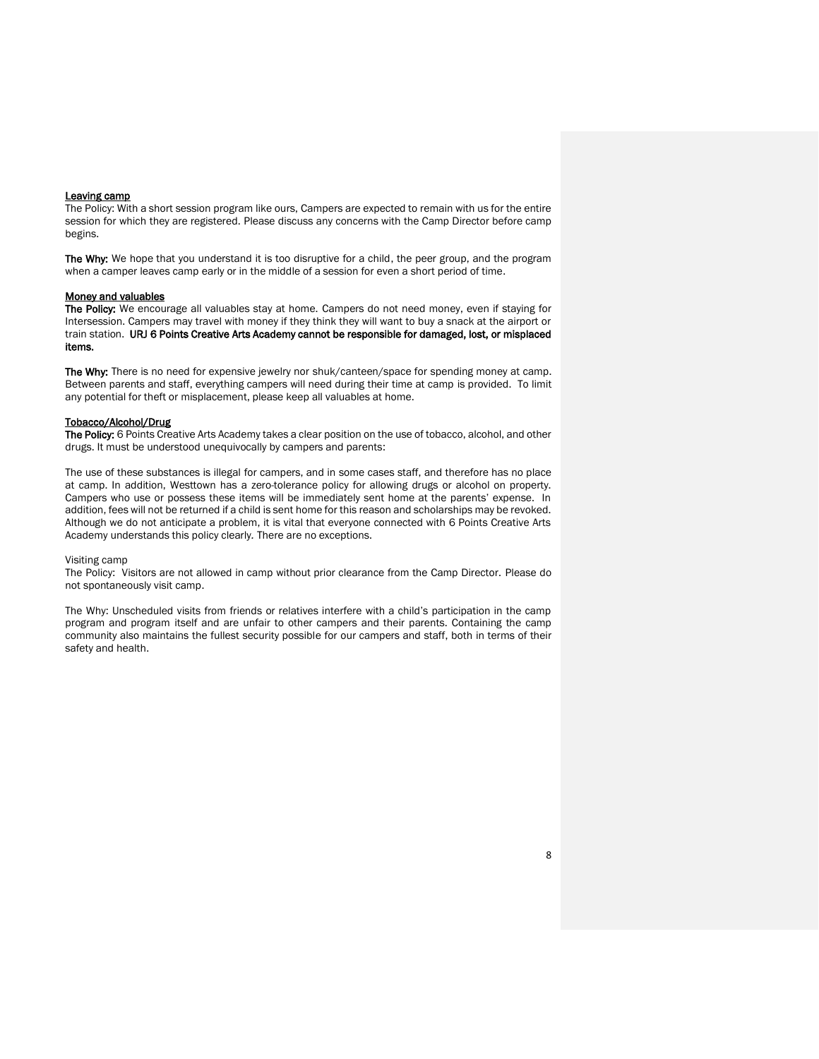#### Leaving camp

The Policy: With a short session program like ours, Campers are expected to remain with us for the entire session for which they are registered. Please discuss any concerns with the Camp Director before camp begins.

The Why: We hope that you understand it is too disruptive for a child, the peer group, and the program when a camper leaves camp early or in the middle of a session for even a short period of time.

#### Money and valuables

The Policy: We encourage all valuables stay at home. Campers do not need money, even if staying for Intersession. Campers may travel with money if they think they will want to buy a snack at the airport or train station. URJ 6 Points Creative Arts Academy cannot be responsible for damaged, lost, or misplaced items.

The Why: There is no need for expensive jewelry nor shuk/canteen/space for spending money at camp. Between parents and staff, everything campers will need during their time at camp is provided. To limit any potential for theft or misplacement, please keep all valuables at home.

#### Tobacco/Alcohol/Drug

The Policy: 6 Points Creative Arts Academy takes a clear position on the use of tobacco, alcohol, and other drugs. It must be understood unequivocally by campers and parents:

The use of these substances is illegal for campers, and in some cases staff, and therefore has no place at camp. In addition, Westtown has a zero-tolerance policy for allowing drugs or alcohol on property. Campers who use or possess these items will be immediately sent home at the parents' expense. In addition, fees will not be returned if a child is sent home for this reason and scholarships may be revoked. Although we do not anticipate a problem, it is vital that everyone connected with 6 Points Creative Arts Academy understands this policy clearly*.* There are no exceptions.

#### Visiting camp

The Policy: Visitors are not allowed in camp without prior clearance from the Camp Director. Please do not spontaneously visit camp.

The Why: Unscheduled visits from friends or relatives interfere with a child's participation in the camp program and program itself and are unfair to other campers and their parents. Containing the camp community also maintains the fullest security possible for our campers and staff, both in terms of their safety and health.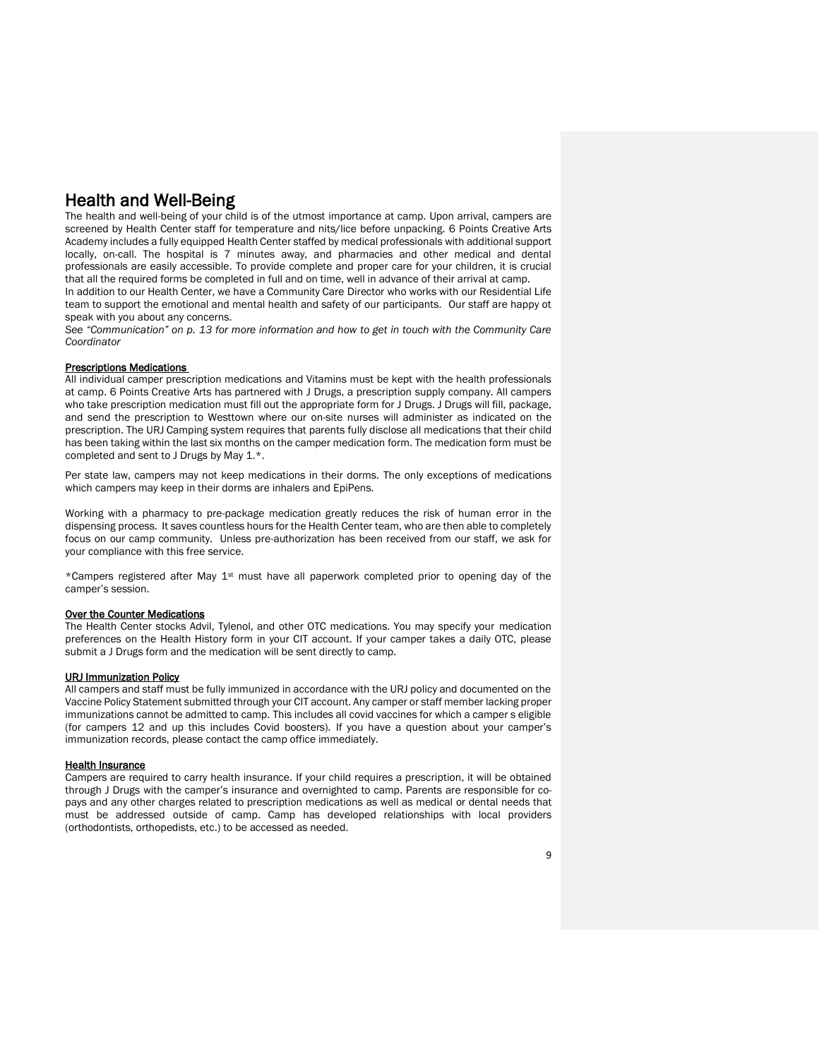## Health and Well-Being

The health and well-being of your child is of the utmost importance at camp. Upon arrival, campers are screened by Health Center staff for temperature and nits/lice before unpacking. 6 Points Creative Arts Academy includes a fully equipped Health Center staffed by medical professionals with additional support locally, on-call. The hospital is 7 minutes away, and pharmacies and other medical and dental professionals are easily accessible. To provide complete and proper care for your children, it is crucial that all the required forms be completed in full and on time, well in advance of their arrival at camp.

In addition to our Health Center, we have a Community Care Director who works with our Residential Life team to support the emotional and mental health and safety of our participants. Our staff are happy ot speak with you about any concerns.

*See "Communication" on p. 13 for more information and how to get in touch with the Community Care Coordinator*

#### Prescriptions Medications

All individual camper prescription medications and Vitamins must be kept with the health professionals at camp. 6 Points Creative Arts has partnered with J Drugs, a prescription supply company. All campers who take prescription medication must fill out the appropriate form for J Drugs. J Drugs will fill, package, and send the prescription to Westtown where our on-site nurses will administer as indicated on the prescription. The URJ Camping system requires that parents fully disclose all medications that their child has been taking within the last six months on the camper medication form. The medication form must be completed and sent to J Drugs by May 1.\*.

Per state law, campers may not keep medications in their dorms. The only exceptions of medications which campers may keep in their dorms are inhalers and EpiPens.

Working with a pharmacy to pre-package medication greatly reduces the risk of human error in the dispensing process. It saves countless hours for the Health Center team, who are then able to completely focus on our camp community. Unless pre-authorization has been received from our staff, we ask for your compliance with this free service.

\*Campers registered after May 1st must have all paperwork completed prior to opening day of the camper's session.

#### Over the Counter Medications

The Health Center stocks Advil, Tylenol, and other OTC medications. You may specify your medication preferences on the Health History form in your CIT account. If your camper takes a daily OTC, please submit a J Drugs form and the medication will be sent directly to camp.

#### URJ Immunization Policy

All campers and staff must be fully immunized in accordance with the URJ policy and documented on the Vaccine Policy Statement submitted through your CIT account. Any camper or staff member lacking proper immunizations cannot be admitted to camp. This includes all covid vaccines for which a camper s eligible (for campers 12 and up this includes Covid boosters). If you have a question about your camper's immunization records, please contact the camp office immediately.

#### **Health Insurance**

Campers are required to carry health insurance. If your child requires a prescription, it will be obtained through J Drugs with the camper's insurance and overnighted to camp. Parents are responsible for copays and any other charges related to prescription medications as well as medical or dental needs that must be addressed outside of camp. Camp has developed relationships with local providers (orthodontists, orthopedists, etc.) to be accessed as needed.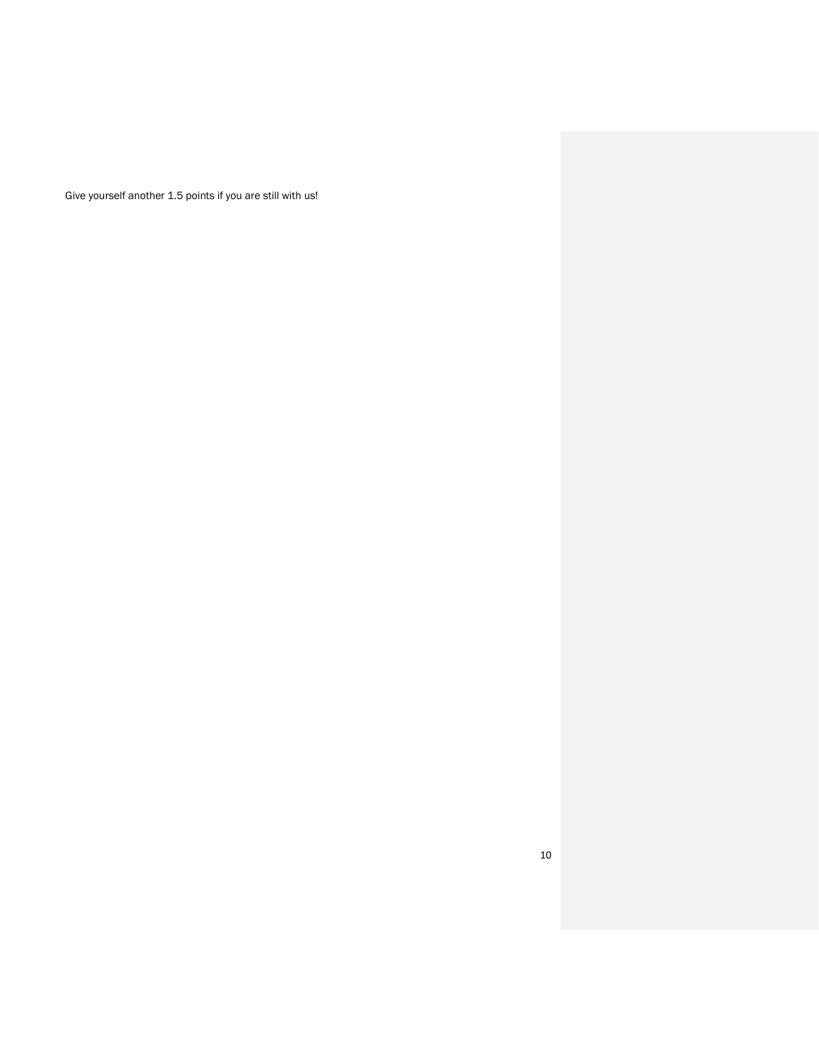Give yourself another 1.5 points if you are still with us!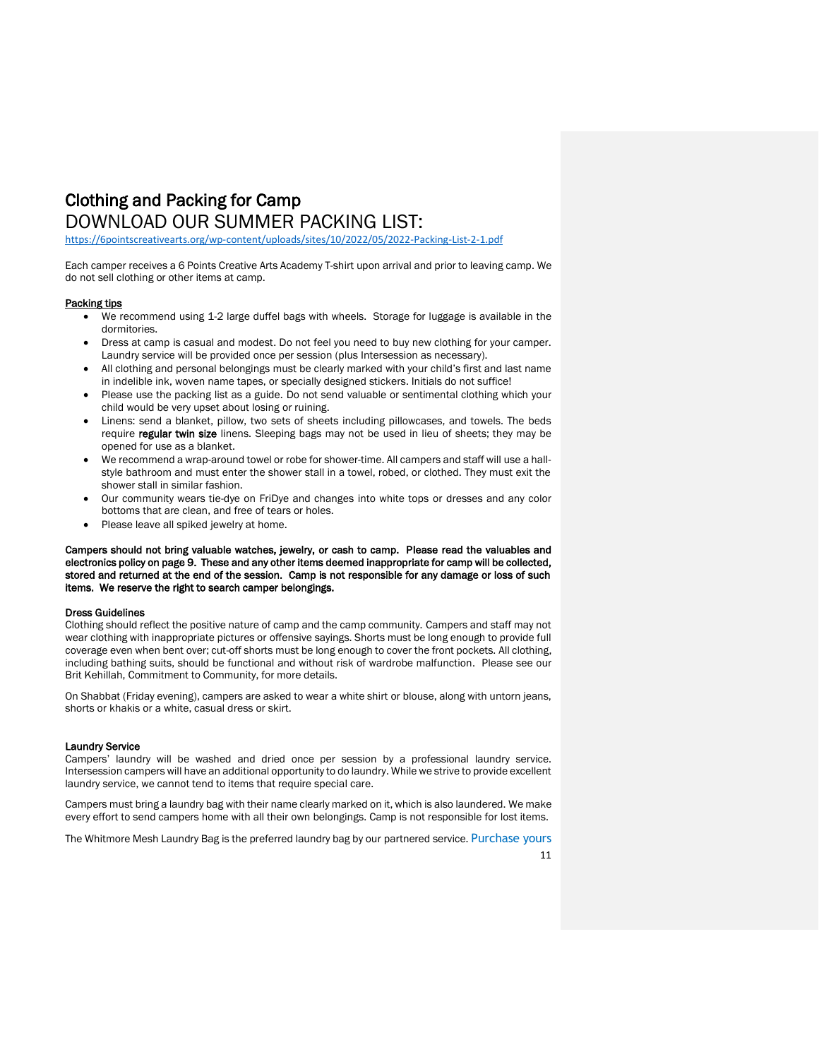## Clothing and Packing for Camp DOWNLOAD OUR SUMMER PACKING LIST:

<https://6pointscreativearts.org/wp-content/uploads/sites/10/2022/05/2022-Packing-List-2-1.pdf>

Each camper receives a 6 Points Creative Arts Academy T-shirt upon arrival and prior to leaving camp. We do not sell clothing or other items at camp.

#### Packing tips

- We recommend using 1-2 large duffel bags with wheels. Storage for luggage is available in the dormitories.
- Dress at camp is casual and modest. Do not feel you need to buy new clothing for your camper. Laundry service will be provided once per session (plus Intersession as necessary).
- All clothing and personal belongings must be clearly marked with your child's first and last name in indelible ink, woven name tapes, or specially designed stickers. Initials do not suffice!
- Please use the packing list as a guide. Do not send valuable or sentimental clothing which your child would be very upset about losing or ruining.
- Linens: send a blanket, pillow, two sets of sheets including pillowcases, and towels. The beds require regular twin size linens. Sleeping bags may not be used in lieu of sheets; they may be opened for use as a blanket.
- We recommend a wrap-around towel or robe for shower-time. All campers and staff will use a hallstyle bathroom and must enter the shower stall in a towel, robed, or clothed. They must exit the shower stall in similar fashion.
- Our community wears tie-dye on FriDye and changes into white tops or dresses and any color bottoms that are clean, and free of tears or holes.
- Please leave all spiked jewelry at home.

Campers should not bring valuable watches, jewelry, or cash to camp. Please read the valuables and electronics policy on page 9. These and any other items deemed inappropriate for camp will be collected, stored and returned at the end of the session. Camp is not responsible for any damage or loss of such items. We reserve the right to search camper belongings.

#### Dress Guidelines

Clothing should reflect the positive nature of camp and the camp community. Campers and staff may not wear clothing with inappropriate pictures or offensive sayings. Shorts must be long enough to provide full coverage even when bent over; cut-off shorts must be long enough to cover the front pockets. All clothing, including bathing suits, should be functional and without risk of wardrobe malfunction. Please see our Brit Kehillah, Commitment to Community, for more details.

On Shabbat (Friday evening), campers are asked to wear a white shirt or blouse, along with untorn jeans, shorts or khakis or a white, casual dress or skirt.

#### Laundry Service

Campers' laundry will be washed and dried once per session by a professional laundry service. Intersession campers will have an additional opportunity to do laundry. While we strive to provide excellent laundry service, we cannot tend to items that require special care.

Campers must bring a laundry bag with their name clearly marked on it, which is also laundered. We make every effort to send campers home with all their own belongings. Camp is not responsible for lost items.

The Whitmore Mesh Laundry Bag is the preferred laundry bag by our partnered service. [Purchase yours](https://www.amazon.com/Whitmor-Mesh-Laundry-Bag-White/dp/B001QD40R4/ref=sr_1_7?s=storageorganization&ie=UTF8&qid=1530893137&sr=1-7&keywords=laundry+bag&dpID=41geDxxkfQL&preST=_SY300_QL70_&dpSrc=srch)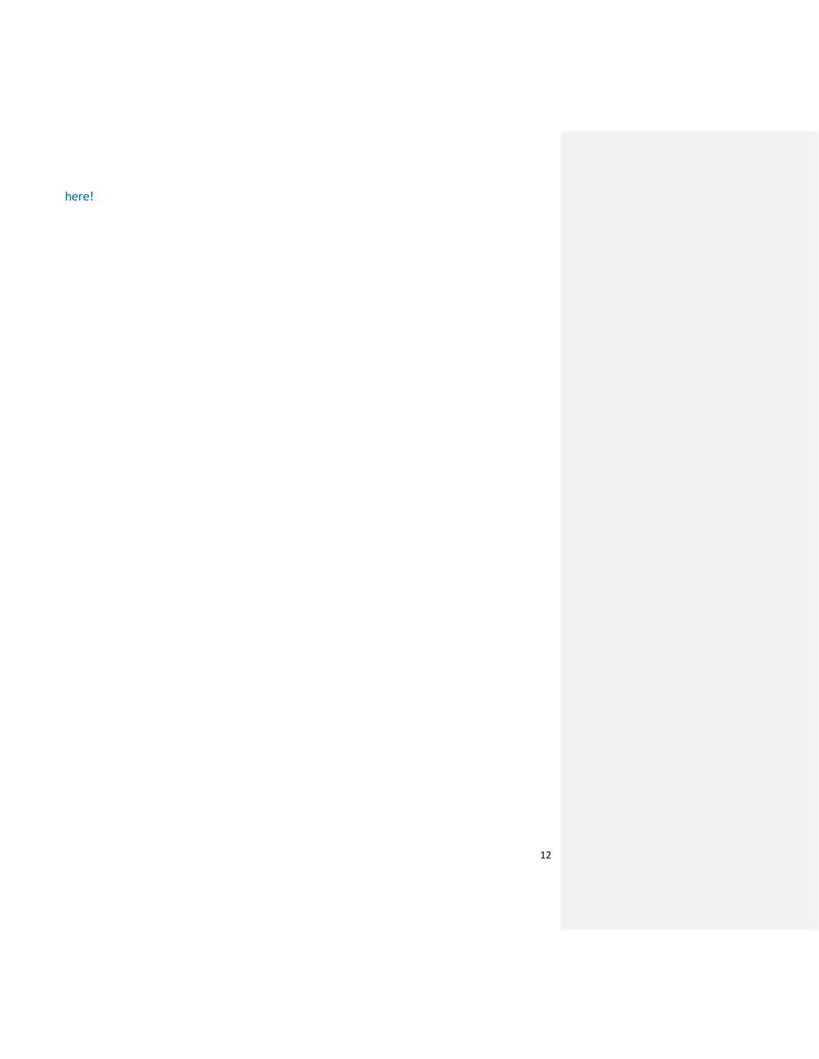[here!](https://www.amazon.com/Whitmor-Mesh-Laundry-Bag-White/dp/B001QD40R4/ref=sr_1_7?s=storageorganization&ie=UTF8&qid=1530893137&sr=1-7&keywords=laundry+bag&dpID=41geDxxkfQL&preST=_SY300_QL70_&dpSrc=srch)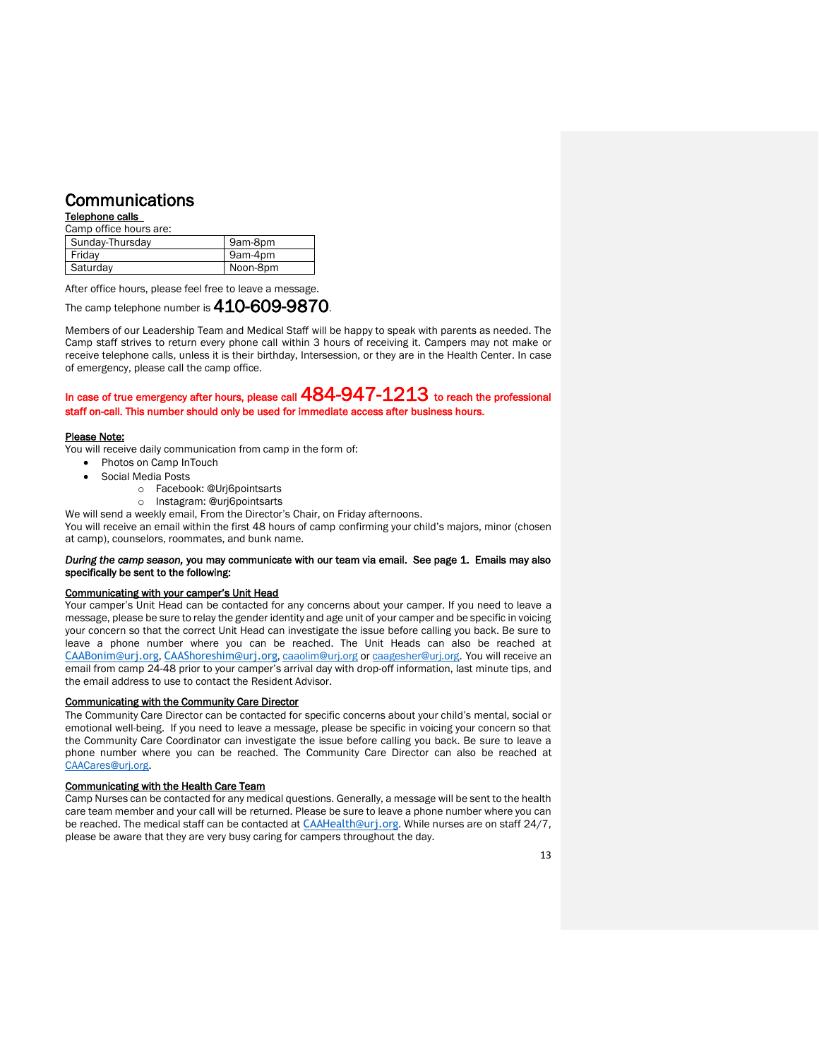## Communications

Telephone calls

| Camp office hours are: |          |
|------------------------|----------|
| Sunday-Thursday        | 9am-8pm  |
| Friday                 | 9am-4pm  |
| Saturday               | Noon-8pm |

After office hours, please feel free to leave a message.

The camp telephone number is 410-609-9870.

Members of our Leadership Team and Medical Staff will be happy to speak with parents as needed. The Camp staff strives to return every phone call within 3 hours of receiving it. Campers may not make or receive telephone calls, unless it is their birthday, Intersession, or they are in the Health Center. In case of emergency, please call the camp office.

In case of true emergency after hours, please call  $484-947-1213$  to reach the professional staff on-call. This number should only be used for immediate access after business hours.

#### Please Note:

You will receive daily communication from camp in the form of:

- Photos on Camp InTouch
- Social Media Posts
	- o Facebook: @Urj6pointsarts
	- o Instagram: @urj6pointsarts

We will send a weekly email, From the Director's Chair, on Friday afternoons.

You will receive an email within the first 48 hours of camp confirming your child's majors, minor (chosen at camp), counselors, roommates, and bunk name.

#### *During the camp season,* you may communicate with our team via email. See page 1. Emails may also specifically be sent to the following:

#### Communicating with your camper's Unit Head

Your camper's Unit Head can be contacted for any concerns about your camper. If you need to leave a message, please be sure to relay the gender identity and age unit of your camper and be specific in voicing your concern so that the correct Unit Head can investigate the issue before calling you back. Be sure to leave a phone number where you can be reached. The Unit Heads can also be reached at [CAABonim@urj.org](mailto:CAABonim@urj.org), [CAAShoreshim@urj.org](mailto:CAAShoreshim@urj.org)[, caaolim@urj.org](mailto:caaolim@urj.org) o[r caagesher@urj.org.](mailto:caagesher@urj.org) You will receive an email from camp 24-48 prior to your camper's arrival day with drop-off information, last minute tips, and the email address to use to contact the Resident Advisor.

#### Communicating with the Community Care Director

The Community Care Director can be contacted for specific concerns about your child's mental, social or emotional well-being. If you need to leave a message, please be specific in voicing your concern so that the Community Care Coordinator can investigate the issue before calling you back. Be sure to leave a phone number where you can be reached. The Community Care Director can also be reached at [CAACares@urj.org.](mailto:CAACares@urj.org)

#### Communicating with the Health Care Team

Camp Nurses can be contacted for any medical questions. Generally, a message will be sent to the health care team member and your call will be returned. Please be sure to leave a phone number where you can be reached. The medical staff can be contacted at [CAAHealth@urj.org](mailto:CAAHealth@urj.org). While nurses are on staff 24/7, please be aware that they are very busy caring for campers throughout the day.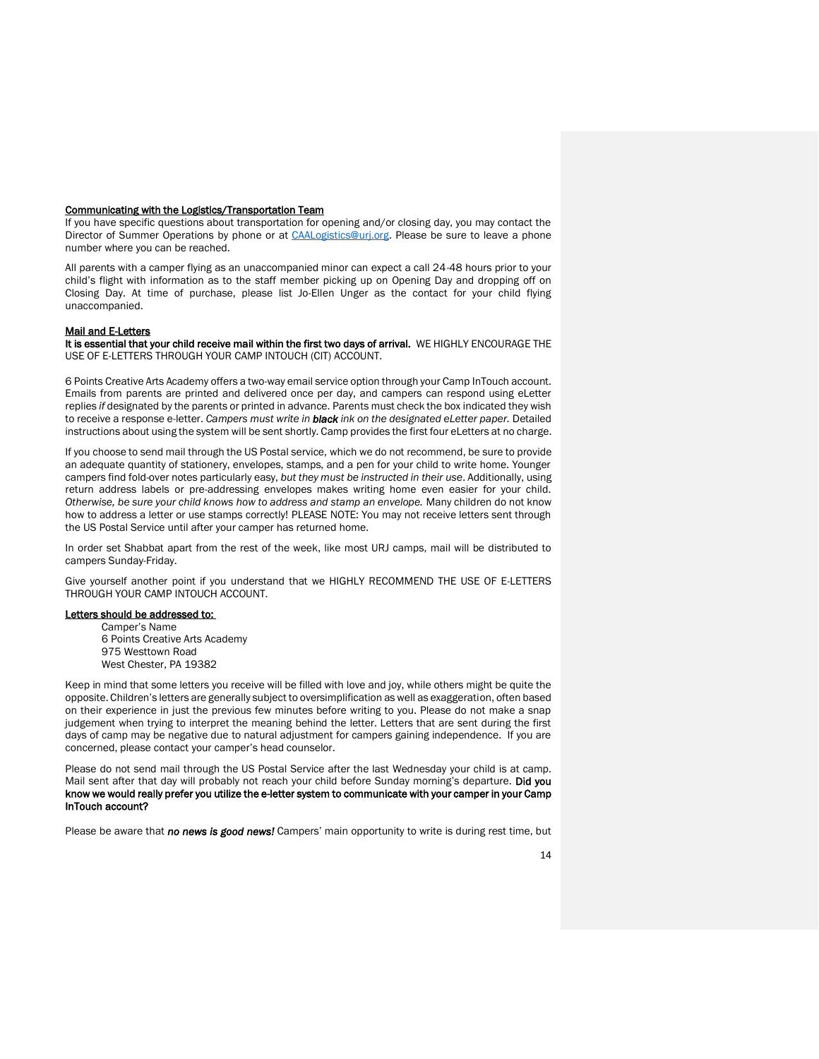#### Communicating with the Logistics/Transportation Team

If you have specific questions about transportation for opening and/or closing day, you may contact the Director of Summer Operations by phone or at [CAALogistics@urj.org.](mailto:caalogistics@urj.org) Please be sure to leave a phone number where you can be reached.

All parents with a camper flying as an unaccompanied minor can expect a call 24-48 hours prior to your child's flight with information as to the staff member picking up on Opening Day and dropping off on Closing Day. At time of purchase, please list Jo-Ellen Unger as the contact for your child flying unaccompanied.

#### Mail and E-Letters

It is essential that your child receive mail within the first two days of arrival. WE HIGHLY ENCOURAGE THE USE OF E-LETTERS THROUGH YOUR CAMP INTOUCH (CIT) ACCOUNT.

6 Points Creative Arts Academy offers a two-way email service option through your Camp InTouch account. Emails from parents are printed and delivered once per day, and campers can respond using eLetter replies *if* designated by the parents or printed in advance. Parents must check the box indicated they wish to receive a response e-letter. *Campers must write in black ink on the designated eLetter paper.* Detailed instructions about using the system will be sent shortly. Camp provides the first four eLetters at no charge.

If you choose to send mail through the US Postal service, which we do not recommend, be sure to provide an adequate quantity of stationery, envelopes, stamps, and a pen for your child to write home. Younger campers find fold-over notes particularly easy, *but they must be instructed in their use*. Additionally, using return address labels or pre-addressing envelopes makes writing home even easier for your child. *Otherwise, be sure your child knows how to address and stamp an envelope.* Many children do not know how to address a letter or use stamps correctly! PLEASE NOTE: You may not receive letters sent through the US Postal Service until after your camper has returned home.

In order set Shabbat apart from the rest of the week, like most URJ camps, mail will be distributed to campers Sunday-Friday.

Give yourself another point if you understand that we HIGHLY RECOMMEND THE USE OF E-LETTERS THROUGH YOUR CAMP INTOUCH ACCOUNT.

#### Letters should be addressed to:

Camper's Name 6 Points Creative Arts Academy 975 Westtown Road West Chester, PA 19382

Keep in mind that some letters you receive will be filled with love and joy, while others might be quite the opposite. Children's letters are generally subject to oversimplification as well as exaggeration, often based on their experience in just the previous few minutes before writing to you. Please do not make a snap judgement when trying to interpret the meaning behind the letter. Letters that are sent during the first days of camp may be negative due to natural adjustment for campers gaining independence. If you are concerned, please contact your camper's head counselor.

Please do not send mail through the US Postal Service after the last Wednesday your child is at camp. Mail sent after that day will probably not reach your child before Sunday morning's departure. Did you know we would really prefer you utilize the e-letter system to communicate with your camper in your Camp InTouch account?

Please be aware that *no news is good news!* Campers' main opportunity to write is during rest time, but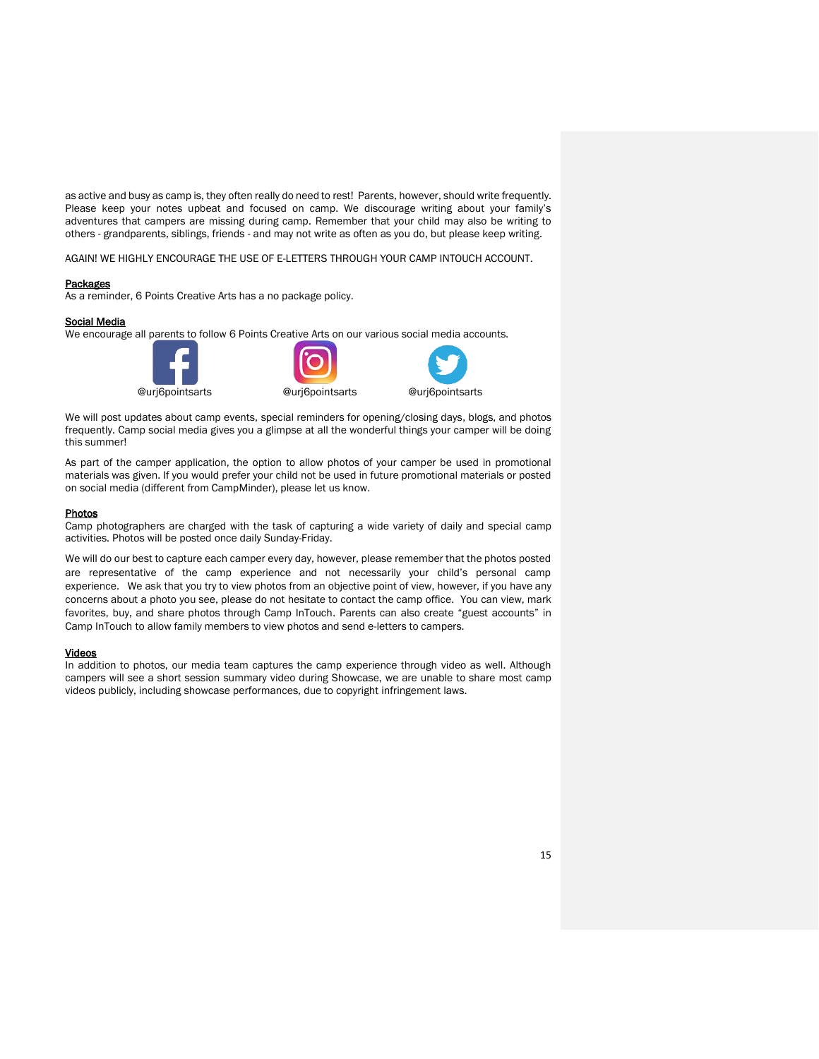as active and busy as camp is, they often really do need to rest! Parents, however, should write frequently. Please keep your notes upbeat and focused on camp. We discourage writing about your family's adventures that campers are missing during camp. Remember that your child may also be writing to others - grandparents, siblings, friends - and may not write as often as you do, but please keep writing.

AGAIN! WE HIGHLY ENCOURAGE THE USE OF E-LETTERS THROUGH YOUR CAMP INTOUCH ACCOUNT.

#### Packages

As a reminder, 6 Points Creative Arts has a no package policy.

#### Social Media

We encourage all parents to follow 6 Points Creative Arts on our various social media accounts.







We will post updates about camp events, special reminders for opening/closing days, blogs, and photos frequently. Camp social media gives you a glimpse at all the wonderful things your camper will be doing this summer!

As part of the camper application, the option to allow photos of your camper be used in promotional materials was given. If you would prefer your child not be used in future promotional materials or posted on social media (different from CampMinder), please let us know.

#### Photos

Camp photographers are charged with the task of capturing a wide variety of daily and special camp activities. Photos will be posted once daily Sunday-Friday.

We will do our best to capture each camper every day, however, please remember that the photos posted are representative of the camp experience and not necessarily your child's personal camp experience. We ask that you try to view photos from an objective point of view, however, if you have any concerns about a photo you see, please do not hesitate to contact the camp office. You can view, mark favorites, buy, and share photos through Camp InTouch. Parents can also create "guest accounts" in Camp InTouch to allow family members to view photos and send e-letters to campers.

#### Videos

In addition to photos, our media team captures the camp experience through video as well. Although campers will see a short session summary video during Showcase, we are unable to share most camp videos publicly, including showcase performances, due to copyright infringement laws.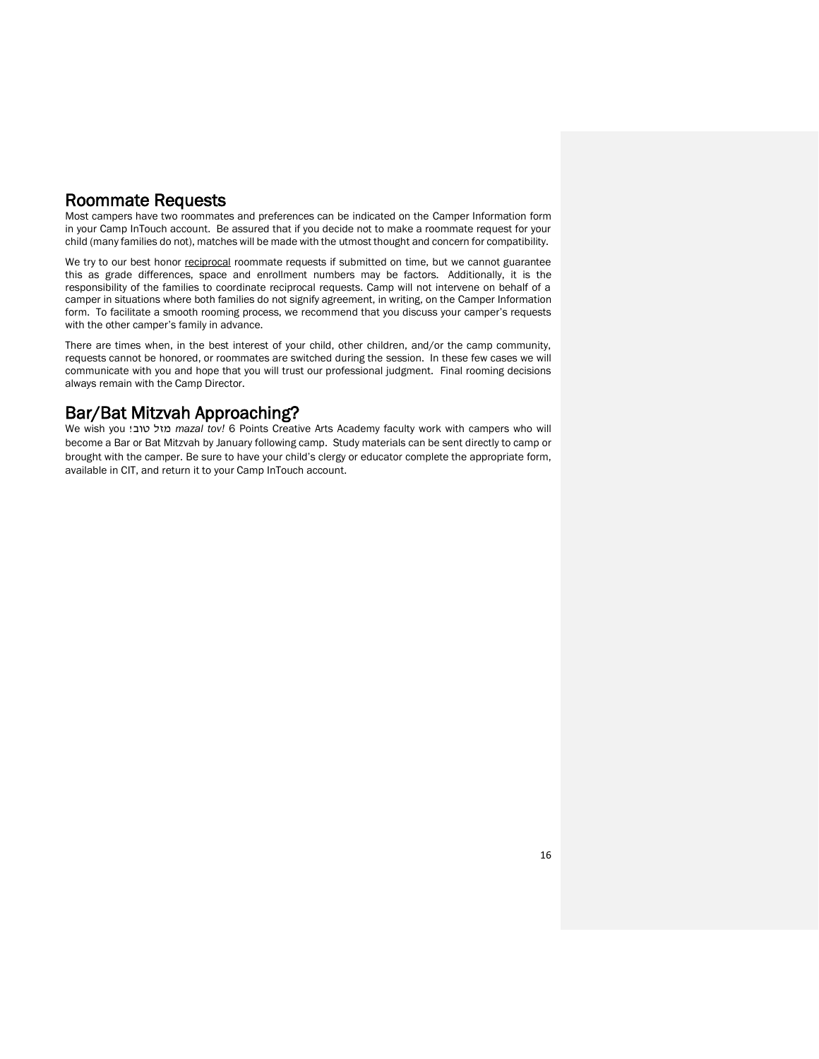## Roommate Requests

Most campers have two roommates and preferences can be indicated on the Camper Information form in your Camp InTouch account. Be assured that if you decide not to make a roommate request for your child (many families do not), matches will be made with the utmost thought and concern for compatibility.

We try to our best honor reciprocal roommate requests if submitted on time, but we cannot guarantee this as grade differences, space and enrollment numbers may be factors. Additionally, it is the responsibility of the families to coordinate reciprocal requests. Camp will not intervene on behalf of a camper in situations where both families do not signify agreement, in writing, on the Camper Information form. To facilitate a smooth rooming process, we recommend that you discuss your camper's requests with the other camper's family in advance.

There are times when, in the best interest of your child, other children, and/or the camp community, requests cannot be honored, or roommates are switched during the session. In these few cases we will communicate with you and hope that you will trust our professional judgment. Final rooming decisions always remain with the Camp Director.

## Bar/Bat Mitzvah Approaching?

We wish youִִ!טובִִמזל *mazal tov!* 6 Points Creative Arts Academy faculty work with campers who will become a Bar or Bat Mitzvah by January following camp. Study materials can be sent directly to camp or brought with the camper. Be sure to have your child's clergy or educator complete the appropriate form, available in CIT, and return it to your Camp InTouch account.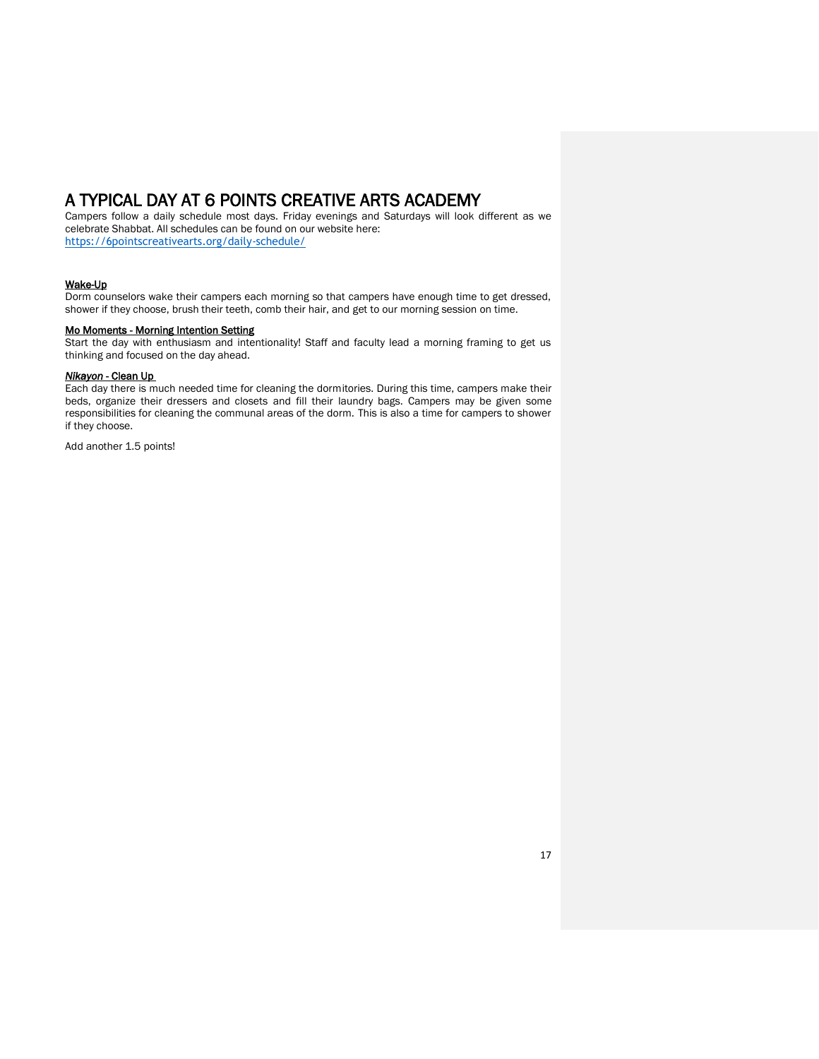## A TYPICAL DAY AT 6 POINTS CREATIVE ARTS ACADEMY

Campers follow a daily schedule most days. Friday evenings and Saturdays will look different as we celebrate Shabbat. All schedules can be found on our website here: <https://6pointscreativearts.org/daily-schedule/>

#### Wake-Up

Dorm counselors wake their campers each morning so that campers have enough time to get dressed, shower if they choose, brush their teeth, comb their hair, and get to our morning session on time.

#### Mo Moments - Morning Intention Setting

Start the day with enthusiasm and intentionality! Staff and faculty lead a morning framing to get us thinking and focused on the day ahead.

#### *Nikayon* - Clean Up

Each day there is much needed time for cleaning the dormitories. During this time, campers make their beds, organize their dressers and closets and fill their laundry bags. Campers may be given some responsibilities for cleaning the communal areas of the dorm. This is also a time for campers to shower if they choose.

Add another 1.5 points!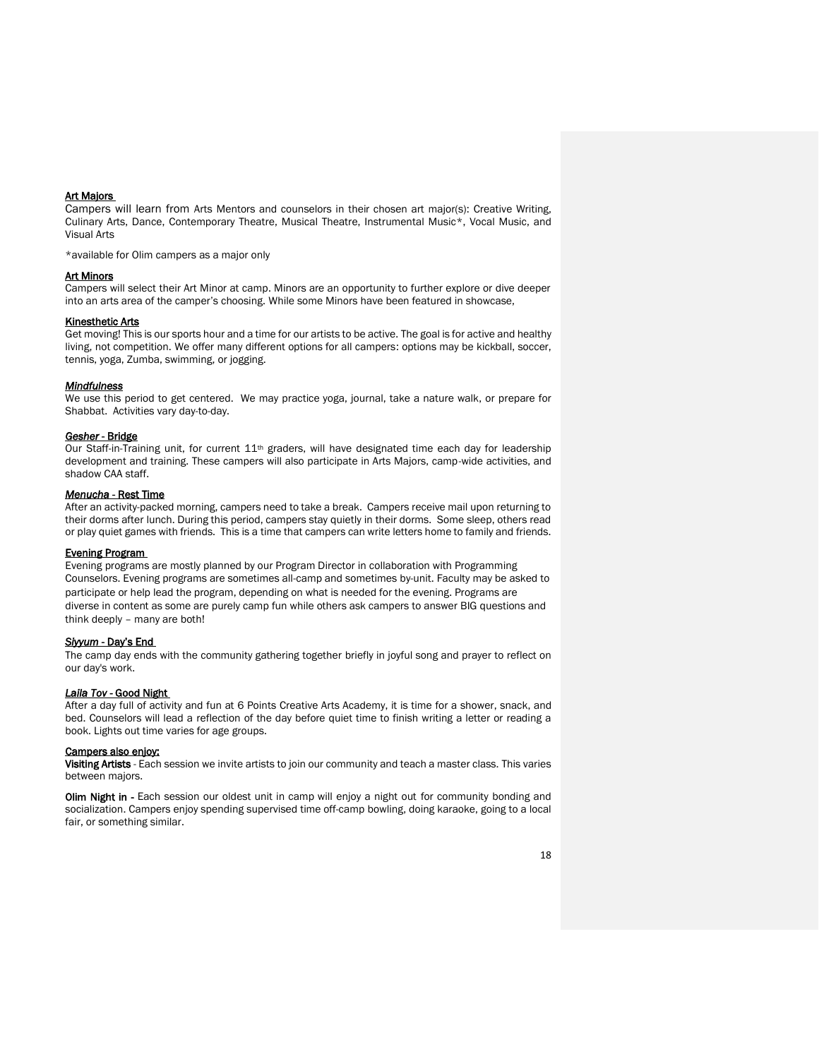#### Art Majors

Campers will learn from Arts Mentors and counselors in their chosen art major(s): Creative Writing, Culinary Arts, Dance, Contemporary Theatre, Musical Theatre, Instrumental Music\*, Vocal Music, and Visual Arts

\*available for Olim campers as a major only

#### Art Minors

Campers will select their Art Minor at camp. Minors are an opportunity to further explore or dive deeper into an arts area of the camper's choosing. While some Minors have been featured in showcase,

#### Kinesthetic Arts

Get moving! This is our sports hour and a time for our artists to be active. The goal is for active and healthy living, not competition. We offer many different options for all campers: options may be kickball, soccer, tennis, yoga, Zumba, swimming, or jogging.

#### *Mindfulness*

We use this period to get centered. We may practice yoga, journal, take a nature walk, or prepare for Shabbat. Activities vary day-to-day.

#### *Gesher* - Bridge

Our Staff-in-Training unit, for current 11<sup>th</sup> graders, will have designated time each day for leadership development and training. These campers will also participate in Arts Majors, camp-wide activities, and shadow CAA staff.

#### *Menucha* - Rest Time

After an activity-packed morning, campers need to take a break. Campers receive mail upon returning to their dorms after lunch. During this period, campers stay quietly in their dorms. Some sleep, others read or play quiet games with friends. This is a time that campers can write letters home to family and friends.

#### Evening Program

Evening programs are mostly planned by our Program Director in collaboration with Programming Counselors. Evening programs are sometimes all-camp and sometimes by-unit. Faculty may be asked to participate or help lead the program, depending on what is needed for the evening. Programs are diverse in content as some are purely camp fun while others ask campers to answer BIG questions and think deeply – many are both!

#### *Siyyum* - Day's End

The camp day ends with the community gathering together briefly in joyful song and prayer to reflect on our day's work.

#### *Laila Tov* - Good Night

After a day full of activity and fun at 6 Points Creative Arts Academy, it is time for a shower, snack, and bed. Counselors will lead a reflection of the day before quiet time to finish writing a letter or reading a book. Lights out time varies for age groups.

#### Campers also enjoy:

Visiting Artists - Each session we invite artists to join our community and teach a master class. This varies between majors.

**Olim Night in -** Each session our oldest unit in camp will enjoy a night out for community bonding and socialization. Campers enjoy spending supervised time off-camp bowling, doing karaoke, going to a local fair, or something similar.